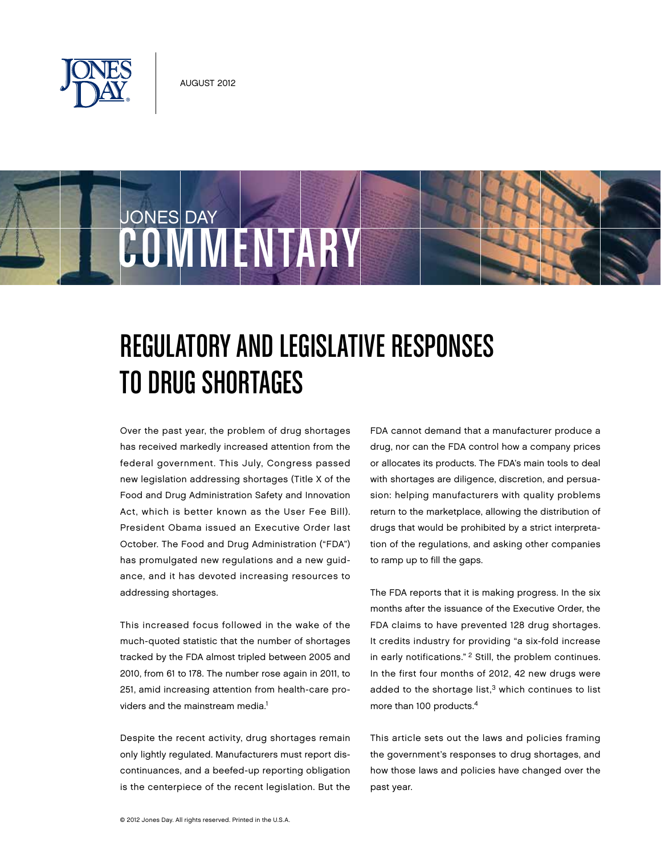

JONES DAY

# Regulatory and Legislative Responses to Drug Shortages

Over the past year, the problem of drug shortages has received markedly increased attention from the federal government. This July, Congress passed new legislation addressing shortages (Title X of the Food and Drug Administration Safety and Innovation Act, which is better known as the User Fee Bill). President Obama issued an Executive Order last October. The Food and Drug Administration ("FDA") has promulgated new regulations and a new guidance, and it has devoted increasing resources to addressing shortages.

**COMMENTARY** 

This increased focus followed in the wake of the much-quoted statistic that the number of shortages tracked by the FDA almost tripled between 2005 and 2010, from 61 to 178. The number rose again in 2011, to 251, amid increasing attention from health-care providers and the mainstream media.<sup>1</sup>

Despite the recent activity, drug shortages remain only lightly regulated. Manufacturers must report discontinuances, and a beefed-up reporting obligation is the centerpiece of the recent legislation. But the

FDA cannot demand that a manufacturer produce a drug, nor can the FDA control how a company prices or allocates its products. The FDA's main tools to deal with shortages are diligence, discretion, and persuasion: helping manufacturers with quality problems return to the marketplace, allowing the distribution of drugs that would be prohibited by a strict interpretation of the regulations, and asking other companies to ramp up to fill the gaps.

The FDA reports that it is making progress. In the six months after the issuance of the Executive Order, the FDA claims to have prevented 128 drug shortages. It credits industry for providing "a six-fold increase in early notifications."<sup>2</sup> Still, the problem continues. In the first four months of 2012, 42 new drugs were added to the shortage list, $3$  which continues to list more than 100 products.4

This article sets out the laws and policies framing the government's responses to drug shortages, and how those laws and policies have changed over the past year.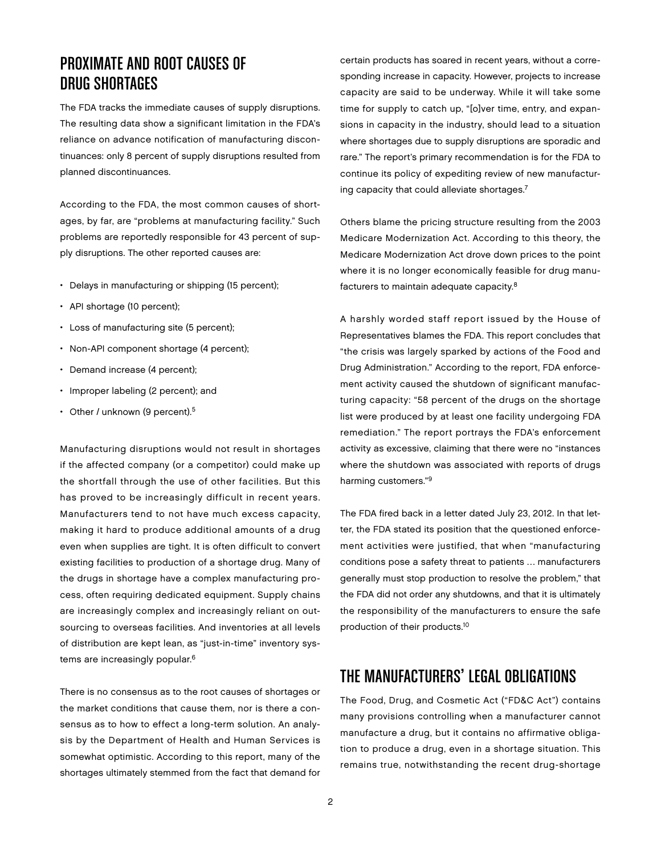# Proximate and Root Causes of Drug Shortages

The FDA tracks the immediate causes of supply disruptions. The resulting data show a significant limitation in the FDA's reliance on advance notification of manufacturing discontinuances: only 8 percent of supply disruptions resulted from planned discontinuances.

According to the FDA, the most common causes of shortages, by far, are "problems at manufacturing facility." Such problems are reportedly responsible for 43 percent of supply disruptions. The other reported causes are:

- Delays in manufacturing or shipping (15 percent);
- API shortage (10 percent);
- Loss of manufacturing site (5 percent);
- Non-API component shortage (4 percent);
- Demand increase (4 percent);
- Improper labeling (2 percent); and
- Other / unknown (9 percent).<sup>5</sup>

Manufacturing disruptions would not result in shortages if the affected company (or a competitor) could make up the shortfall through the use of other facilities. But this has proved to be increasingly difficult in recent years. Manufacturers tend to not have much excess capacity, making it hard to produce additional amounts of a drug even when supplies are tight. It is often difficult to convert existing facilities to production of a shortage drug. Many of the drugs in shortage have a complex manufacturing process, often requiring dedicated equipment. Supply chains are increasingly complex and increasingly reliant on outsourcing to overseas facilities. And inventories at all levels of distribution are kept lean, as "just-in-time" inventory systems are increasingly popular.6

There is no consensus as to the root causes of shortages or the market conditions that cause them, nor is there a consensus as to how to effect a long-term solution. An analysis by the Department of Health and Human Services is somewhat optimistic. According to this report, many of the shortages ultimately stemmed from the fact that demand for certain products has soared in recent years, without a corresponding increase in capacity. However, projects to increase capacity are said to be underway. While it will take some time for supply to catch up, "[o]ver time, entry, and expansions in capacity in the industry, should lead to a situation where shortages due to supply disruptions are sporadic and rare." The report's primary recommendation is for the FDA to continue its policy of expediting review of new manufacturing capacity that could alleviate shortages.7

Others blame the pricing structure resulting from the 2003 Medicare Modernization Act. According to this theory, the Medicare Modernization Act drove down prices to the point where it is no longer economically feasible for drug manufacturers to maintain adequate capacity.8

A harshly worded staff report issued by the House of Representatives blames the FDA. This report concludes that "the crisis was largely sparked by actions of the Food and Drug Administration." According to the report, FDA enforcement activity caused the shutdown of significant manufacturing capacity: "58 percent of the drugs on the shortage list were produced by at least one facility undergoing FDA remediation." The report portrays the FDA's enforcement activity as excessive, claiming that there were no "instances where the shutdown was associated with reports of drugs harming customers."9

The FDA fired back in a letter dated July 23, 2012. In that letter, the FDA stated its position that the questioned enforcement activities were justified, that when "manufacturing conditions pose a safety threat to patients … manufacturers generally must stop production to resolve the problem," that the FDA did not order any shutdowns, and that it is ultimately the responsibility of the manufacturers to ensure the safe production of their products.10

### The Manufacturers' Legal Obligations

The Food, Drug, and Cosmetic Act ("FD&C Act") contains many provisions controlling when a manufacturer cannot manufacture a drug, but it contains no affirmative obligation to produce a drug, even in a shortage situation. This remains true, notwithstanding the recent drug-shortage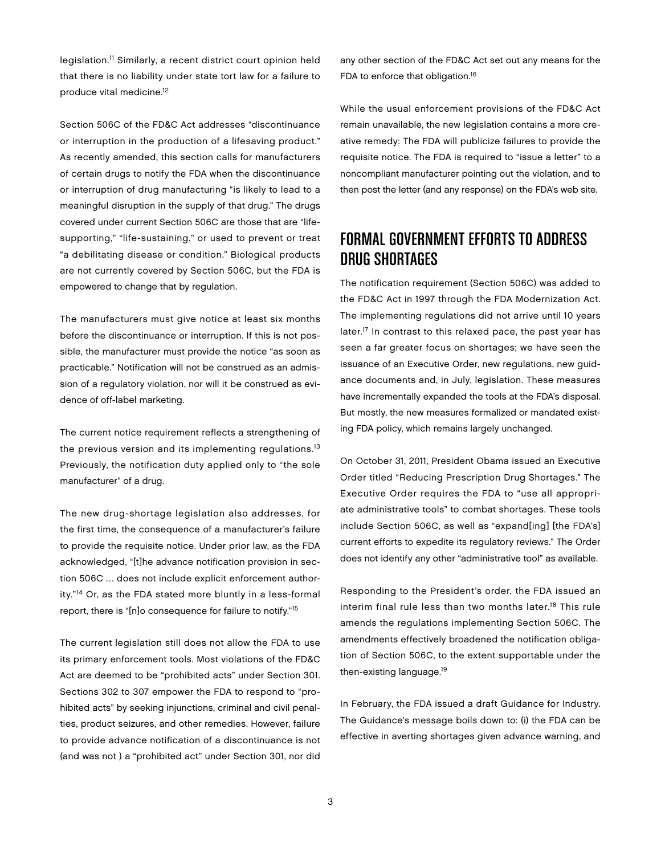legislation.11 Similarly, a recent district court opinion held that there is no liability under state tort law for a failure to produce vital medicine.12

Section 506C of the FD&C Act addresses "discontinuance or interruption in the production of a lifesaving product." As recently amended, this section calls for manufacturers of certain drugs to notify the FDA when the discontinuance or interruption of drug manufacturing "is likely to lead to a meaningful disruption in the supply of that drug." The drugs covered under current Section 506C are those that are "lifesupporting," "life-sustaining," or used to prevent or treat "a debilitating disease or condition." Biological products are not currently covered by Section 506C, but the FDA is empowered to change that by regulation.

The manufacturers must give notice at least six months before the discontinuance or interruption. If this is not possible, the manufacturer must provide the notice "as soon as practicable." Notification will not be construed as an admission of a regulatory violation, nor will it be construed as evidence of off-label marketing.

The current notice requirement reflects a strengthening of the previous version and its implementing regulations.<sup>13</sup> Previously, the notification duty applied only to "the sole manufacturer" of a drug.

The new drug-shortage legislation also addresses, for the first time, the consequence of a manufacturer's failure to provide the requisite notice. Under prior law, as the FDA acknowledged, "[t]he advance notification provision in section 506C … does not include explicit enforcement authority."14 Or, as the FDA stated more bluntly in a less-formal report, there is "[n]o consequence for failure to notify."15

The current legislation still does not allow the FDA to use its primary enforcement tools. Most violations of the FD&C Act are deemed to be "prohibited acts" under Section 301. Sections 302 to 307 empower the FDA to respond to "prohibited acts" by seeking injunctions, criminal and civil penalties, product seizures, and other remedies. However, failure to provide advance notification of a discontinuance is not (and was not ) a "prohibited act" under Section 301, nor did

any other section of the FD&C Act set out any means for the FDA to enforce that obligation.16

While the usual enforcement provisions of the FD&C Act remain unavailable, the new legislation contains a more creative remedy: The FDA will publicize failures to provide the requisite notice. The FDA is required to "issue a letter" to a noncompliant manufacturer pointing out the violation, and to then post the letter (and any response) on the FDA's web site.

# Formal Government Efforts To Address Drug Shortages

The notification requirement (Section 506C) was added to the FD&C Act in 1997 through the FDA Modernization Act. The implementing regulations did not arrive until 10 years later.17 In contrast to this relaxed pace, the past year has seen a far greater focus on shortages; we have seen the issuance of an Executive Order, new regulations, new guidance documents and, in July, legislation. These measures have incrementally expanded the tools at the FDA's disposal. But mostly, the new measures formalized or mandated existing FDA policy, which remains largely unchanged.

On October 31, 2011, President Obama issued an Executive Order titled "Reducing Prescription Drug Shortages." The Executive Order requires the FDA to "use all appropriate administrative tools" to combat shortages. These tools include Section 506C, as well as "expand[ing] [the FDA's] current efforts to expedite its regulatory reviews." The Order does not identify any other "administrative tool" as available.

Responding to the President's order, the FDA issued an interim final rule less than two months later.<sup>18</sup> This rule amends the regulations implementing Section 506C. The amendments effectively broadened the notification obligation of Section 506C, to the extent supportable under the then-existing language.19

In February, the FDA issued a draft Guidance for Industry. The Guidance's message boils down to: (i) the FDA can be effective in averting shortages given advance warning, and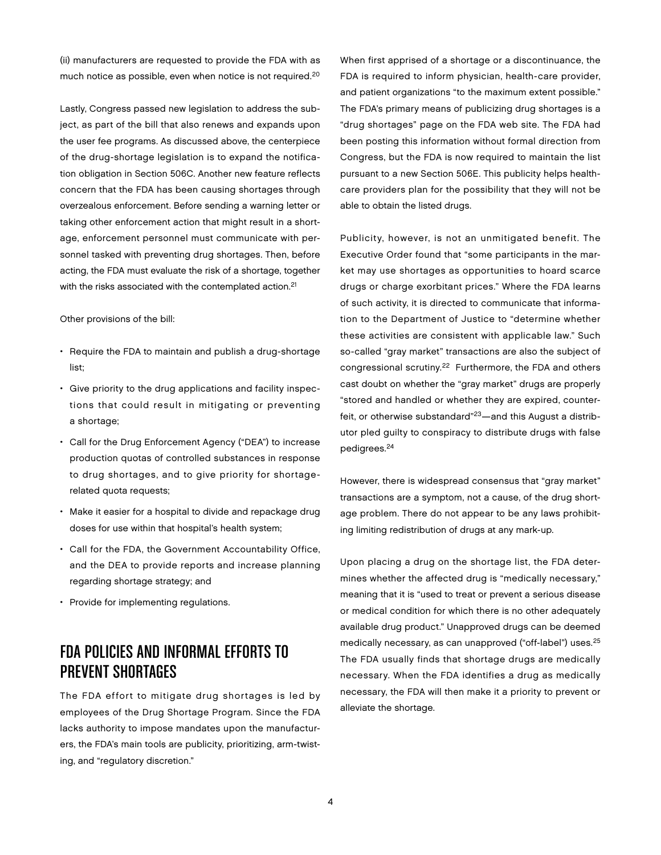(ii) manufacturers are requested to provide the FDA with as much notice as possible, even when notice is not required.20

Lastly, Congress passed new legislation to address the subject, as part of the bill that also renews and expands upon the user fee programs. As discussed above, the centerpiece of the drug-shortage legislation is to expand the notification obligation in Section 506C. Another new feature reflects concern that the FDA has been causing shortages through overzealous enforcement. Before sending a warning letter or taking other enforcement action that might result in a shortage, enforcement personnel must communicate with personnel tasked with preventing drug shortages. Then, before acting, the FDA must evaluate the risk of a shortage, together with the risks associated with the contemplated action.<sup>21</sup>

Other provisions of the bill:

- Require the FDA to maintain and publish a drug-shortage list;
- Give priority to the drug applications and facility inspections that could result in mitigating or preventing a shortage;
- Call for the Drug Enforcement Agency ("DEA") to increase production quotas of controlled substances in response to drug shortages, and to give priority for shortagerelated quota requests;
- Make it easier for a hospital to divide and repackage drug doses for use within that hospital's health system;
- Call for the FDA, the Government Accountability Office, and the DEA to provide reports and increase planning regarding shortage strategy; and
- Provide for implementing regulations.

# FDA Policies and Informal Efforts To Prevent Shortages

The FDA effort to mitigate drug shortages is led by employees of the Drug Shortage Program. Since the FDA lacks authority to impose mandates upon the manufacturers, the FDA's main tools are publicity, prioritizing, arm-twisting, and "regulatory discretion."

When first apprised of a shortage or a discontinuance, the FDA is required to inform physician, health-care provider, and patient organizations "to the maximum extent possible." The FDA's primary means of publicizing drug shortages is a "drug shortages" page on the FDA web site. The FDA had been posting this information without formal direction from Congress, but the FDA is now required to maintain the list pursuant to a new Section 506E. This publicity helps healthcare providers plan for the possibility that they will not be able to obtain the listed drugs.

Publicity, however, is not an unmitigated benefit. The Executive Order found that "some participants in the market may use shortages as opportunities to hoard scarce drugs or charge exorbitant prices." Where the FDA learns of such activity, it is directed to communicate that information to the Department of Justice to "determine whether these activities are consistent with applicable law." Such so-called "gray market" transactions are also the subject of congressional scrutiny.22 Furthermore, the FDA and others cast doubt on whether the "gray market" drugs are properly "stored and handled or whether they are expired, counterfeit, or otherwise substandard"23—and this August a distributor pled guilty to conspiracy to distribute drugs with false pedigrees.24

However, there is widespread consensus that "gray market" transactions are a symptom, not a cause, of the drug shortage problem. There do not appear to be any laws prohibiting limiting redistribution of drugs at any mark-up.

Upon placing a drug on the shortage list, the FDA determines whether the affected drug is "medically necessary," meaning that it is "used to treat or prevent a serious disease or medical condition for which there is no other adequately available drug product." Unapproved drugs can be deemed medically necessary, as can unapproved ("off-label") uses.25 The FDA usually finds that shortage drugs are medically necessary. When the FDA identifies a drug as medically necessary, the FDA will then make it a priority to prevent or alleviate the shortage.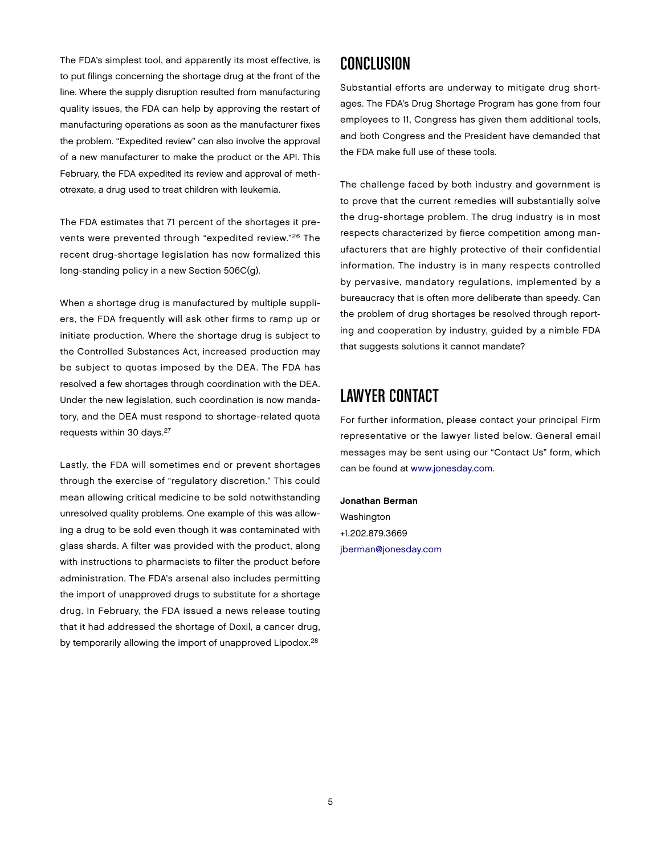The FDA's simplest tool, and apparently its most effective, is to put filings concerning the shortage drug at the front of the line. Where the supply disruption resulted from manufacturing quality issues, the FDA can help by approving the restart of manufacturing operations as soon as the manufacturer fixes the problem. "Expedited review" can also involve the approval of a new manufacturer to make the product or the API. This February, the FDA expedited its review and approval of methotrexate, a drug used to treat children with leukemia.

The FDA estimates that 71 percent of the shortages it prevents were prevented through "expedited review."26 The recent drug-shortage legislation has now formalized this long-standing policy in a new Section 506C(g).

When a shortage drug is manufactured by multiple suppliers, the FDA frequently will ask other firms to ramp up or initiate production. Where the shortage drug is subject to the Controlled Substances Act, increased production may be subject to quotas imposed by the DEA. The FDA has resolved a few shortages through coordination with the DEA. Under the new legislation, such coordination is now mandatory, and the DEA must respond to shortage-related quota requests within 30 days.<sup>27</sup>

Lastly, the FDA will sometimes end or prevent shortages through the exercise of "regulatory discretion." This could mean allowing critical medicine to be sold notwithstanding unresolved quality problems. One example of this was allowing a drug to be sold even though it was contaminated with glass shards. A filter was provided with the product, along with instructions to pharmacists to filter the product before administration. The FDA's arsenal also includes permitting the import of unapproved drugs to substitute for a shortage drug. In February, the FDA issued a news release touting that it had addressed the shortage of Doxil, a cancer drug, by temporarily allowing the import of unapproved Lipodox.<sup>28</sup>

#### Conclusion

Substantial efforts are underway to mitigate drug shortages. The FDA's Drug Shortage Program has gone from four employees to 11, Congress has given them additional tools, and both Congress and the President have demanded that the FDA make full use of these tools.

The challenge faced by both industry and government is to prove that the current remedies will substantially solve the drug-shortage problem. The drug industry is in most respects characterized by fierce competition among manufacturers that are highly protective of their confidential information. The industry is in many respects controlled by pervasive, mandatory regulations, implemented by a bureaucracy that is often more deliberate than speedy. Can the problem of drug shortages be resolved through reporting and cooperation by industry, guided by a nimble FDA that suggests solutions it cannot mandate?

## Lawyer Contact

For further information, please contact your principal Firm representative or the lawyer listed below. General email messages may be sent using our "Contact Us" form, which can be found at [www.jonesday.com.](http://www.jonesday.com)

#### Jonathan Berman Washington +1.202.879.3669 [jberman@jonesday.com](mailto:jberman@jonesday.com)